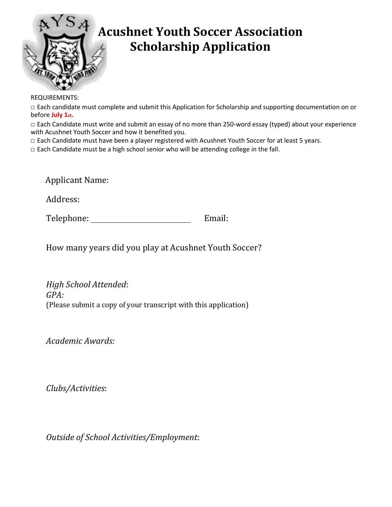

## **Acushnet Youth Soccer Association Scholarship Application**

REQUIREMENTS:

□ Each candidate must complete and submit this Application for Scholarship and supporting documentation on or before **July 1st.**

□ Each Candidate must write and submit an essay of no more than 250-word essay (typed) about your experience with Acushnet Youth Soccer and how it benefited you.

□ Each Candidate must have been a player registered with Acushnet Youth Soccer for at least 5 years.

 $\Box$  Each Candidate must be a high school senior who will be attending college in the fall.

Applicant Name:

Address:

Telephone: Email:

How many years did you play at Acushnet Youth Soccer?

*High School Attended*: *GPA:* (Please submit a copy of your transcript with this application)

*Academic Awards:*

*Clubs/Activities*:

*Outside of School Activities/Employment*: